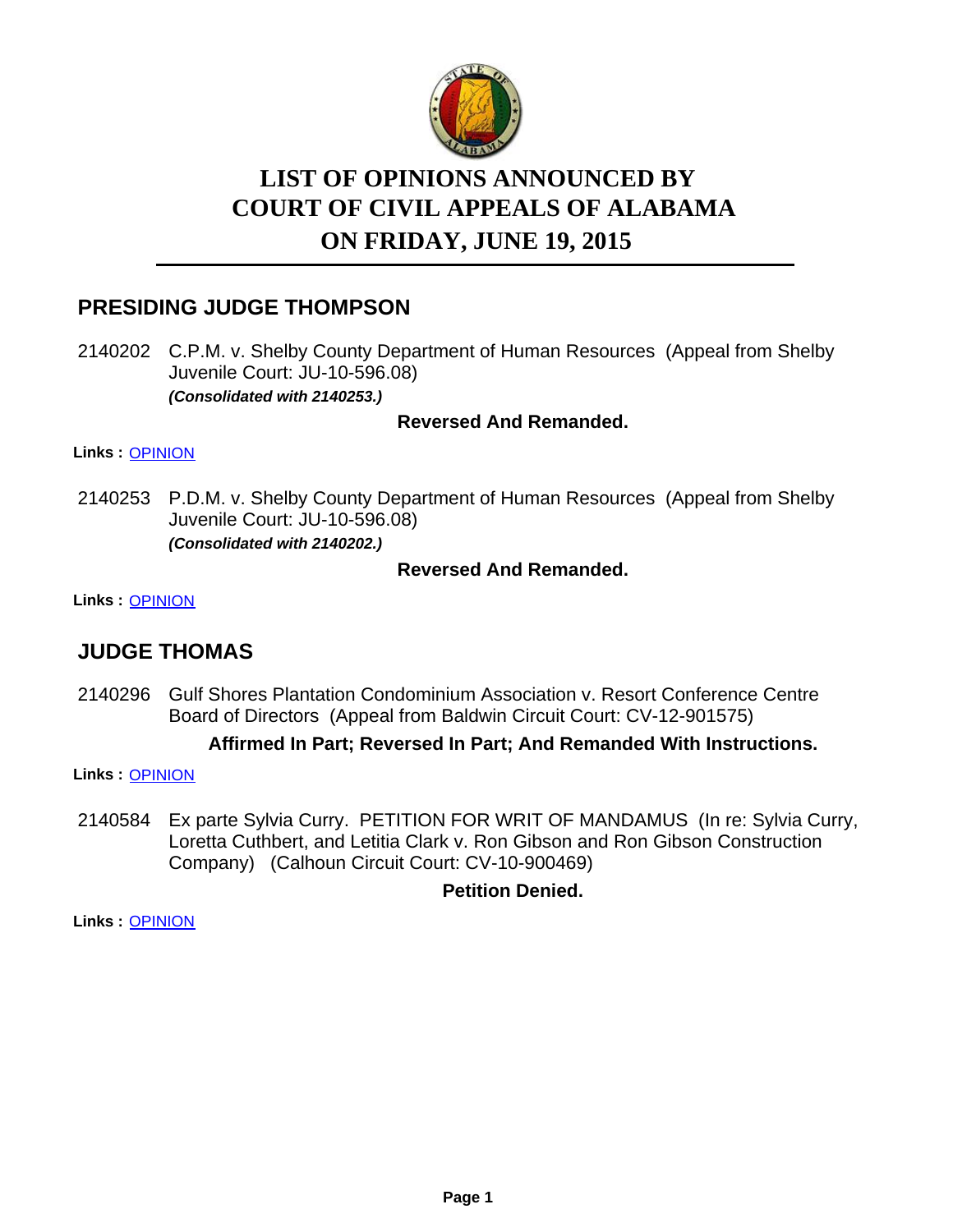

# **LIST OF OPINIONS ANNOUNCED BY ON FRIDAY, JUNE 19, 2015 COURT OF CIVIL APPEALS OF ALABAMA**

# **PRESIDING JUDGE THOMPSON**

2140202 C.P.M. v. Shelby County Department of Human Resources (Appeal from Shelby Juvenile Court: JU-10-596.08) *(Consolidated with 2140253.)*

### **Reversed And Remanded.**

#### **Links :** [OPINION](https://acis.alabama.gov/displaydocs.cfm?no=665186&event=4DN0KJK8J)

2140253 P.D.M. v. Shelby County Department of Human Resources (Appeal from Shelby Juvenile Court: JU-10-596.08) *(Consolidated with 2140202.)*

### **Reversed And Remanded.**

#### **Links :** [OPINION](https://acis.alabama.gov/displaydocs.cfm?no=665186&event=4DN0KJK8J)

# **JUDGE THOMAS**

2140296 Gulf Shores Plantation Condominium Association v. Resort Conference Centre Board of Directors (Appeal from Baldwin Circuit Court: CV-12-901575)

#### **Affirmed In Part; Reversed In Part; And Remanded With Instructions.**

**Links :** [OPINION](https://acis.alabama.gov/displaydocs.cfm?no=665190&event=4DN0KJLWD)

2140584 Ex parte Sylvia Curry. PETITION FOR WRIT OF MANDAMUS (In re: Sylvia Curry, Loretta Cuthbert, and Letitia Clark v. Ron Gibson and Ron Gibson Construction Company) (Calhoun Circuit Court: CV-10-900469)

### **Petition Denied.**

**Links :** [OPINION](https://acis.alabama.gov/displaydocs.cfm?no=665193&event=4DN0KJMBX)